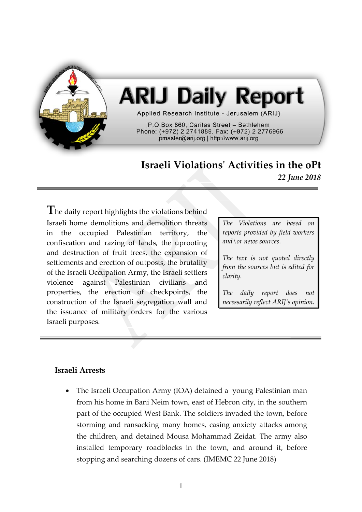

# **ARIJ Daily Report**

Applied Research Institute - Jerusalem (ARIJ)

P.O Box 860, Caritas Street - Bethlehem Phone: (+972) 2 2741889, Fax: (+972) 2 2776966 pmaster@arij.org | http://www.arij.org

# **Israeli Violations' Activities in the oPt** *22 June 2018*

**T**he daily report highlights the violations behind Israeli home demolitions and demolition threats in the occupied Palestinian territory, the confiscation and razing of lands, the uprooting and destruction of fruit trees, the expansion of settlements and erection of outposts, the brutality of the Israeli Occupation Army, the Israeli settlers violence against Palestinian civilians and properties, the erection of checkpoints, the construction of the Israeli segregation wall and the issuance of military orders for the various Israeli purposes.

*The Violations are based on reports provided by field workers and\or news sources.*

*The text is not quoted directly from the sources but is edited for clarity.*

*The daily report does not necessarily reflect ARIJ's opinion.*

## **Israeli Arrests**

• The Israeli Occupation Army (IOA) detained a young Palestinian man from his home in Bani Neim town, east of Hebron city, in the southern part of the occupied West Bank. The soldiers invaded the town, before storming and ransacking many homes, casing anxiety attacks among the children, and detained Mousa Mohammad Zeidat. The army also installed temporary roadblocks in the town, and around it, before stopping and searching dozens of cars. (IMEMC 22 June 2018)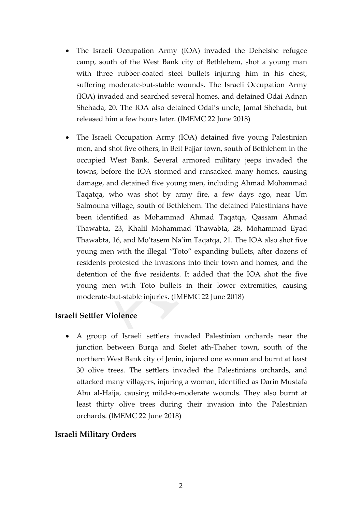- The Israeli Occupation Army (IOA) invaded the Deheishe refugee camp, south of the West Bank city of Bethlehem, shot a young man with three rubber-coated steel bullets injuring him in his chest, suffering moderate-but-stable wounds. The Israeli Occupation Army (IOA) invaded and searched several homes, and detained Odai Adnan Shehada, 20. The IOA also detained Odai's uncle, Jamal Shehada, but released him a few hours later. (IMEMC 22 June 2018)
- The Israeli Occupation Army (IOA) detained five young Palestinian men, and shot five others, in Beit Fajjar town, south of Bethlehem in the occupied West Bank. Several armored military jeeps invaded the towns, before the IOA stormed and ransacked many homes, causing damage, and detained five young men, including Ahmad Mohammad Taqatqa, who was shot by army fire, a few days ago, near Um Salmouna village, south of Bethlehem. The detained Palestinians have been identified as Mohammad Ahmad Taqatqa, Qassam Ahmad Thawabta, 23, Khalil Mohammad Thawabta, 28, Mohammad Eyad Thawabta, 16, and Mo'tasem Na'im Taqatqa, 21. The IOA also shot five young men with the illegal "Toto" expanding bullets, after dozens of residents protested the invasions into their town and homes, and the detention of the five residents. It added that the IOA shot the five young men with Toto bullets in their lower extremities, causing moderate-but-stable injuries. (IMEMC 22 June 2018)

### **Israeli Settler Violence**

• A group of Israeli settlers invaded Palestinian orchards near the junction between Burqa and Sielet ath-Thaher town, south of the northern West Bank city of Jenin, injured one woman and burnt at least 30 olive trees. The settlers invaded the Palestinians orchards, and attacked many villagers, injuring a woman, identified as Darin Mustafa Abu al-Haija, causing mild-to-moderate wounds. They also burnt at least thirty olive trees during their invasion into the Palestinian orchards. (IMEMC 22 June 2018)

### **Israeli Military Orders**